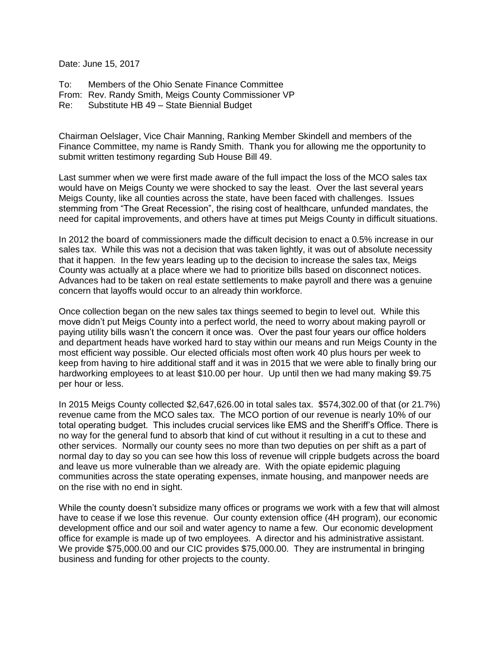Date: June 15, 2017

To: Members of the Ohio Senate Finance Committee From: Rev. Randy Smith, Meigs County Commissioner VP Re: Substitute HB 49 – State Biennial Budget

Chairman Oelslager, Vice Chair Manning, Ranking Member Skindell and members of the Finance Committee, my name is Randy Smith. Thank you for allowing me the opportunity to submit written testimony regarding Sub House Bill 49.

Last summer when we were first made aware of the full impact the loss of the MCO sales tax would have on Meigs County we were shocked to say the least. Over the last several years Meigs County, like all counties across the state, have been faced with challenges. Issues stemming from "The Great Recession", the rising cost of healthcare, unfunded mandates, the need for capital improvements, and others have at times put Meigs County in difficult situations.

In 2012 the board of commissioners made the difficult decision to enact a 0.5% increase in our sales tax. While this was not a decision that was taken lightly, it was out of absolute necessity that it happen. In the few years leading up to the decision to increase the sales tax, Meigs County was actually at a place where we had to prioritize bills based on disconnect notices. Advances had to be taken on real estate settlements to make payroll and there was a genuine concern that layoffs would occur to an already thin workforce.

Once collection began on the new sales tax things seemed to begin to level out. While this move didn't put Meigs County into a perfect world, the need to worry about making payroll or paying utility bills wasn't the concern it once was. Over the past four years our office holders and department heads have worked hard to stay within our means and run Meigs County in the most efficient way possible. Our elected officials most often work 40 plus hours per week to keep from having to hire additional staff and it was in 2015 that we were able to finally bring our hardworking employees to at least \$10.00 per hour. Up until then we had many making \$9.75 per hour or less.

In 2015 Meigs County collected \$2,647,626.00 in total sales tax. \$574,302.00 of that (or 21.7%) revenue came from the MCO sales tax. The MCO portion of our revenue is nearly 10% of our total operating budget. This includes crucial services like EMS and the Sheriff's Office. There is no way for the general fund to absorb that kind of cut without it resulting in a cut to these and other services. Normally our county sees no more than two deputies on per shift as a part of normal day to day so you can see how this loss of revenue will cripple budgets across the board and leave us more vulnerable than we already are. With the opiate epidemic plaguing communities across the state operating expenses, inmate housing, and manpower needs are on the rise with no end in sight.

While the county doesn't subsidize many offices or programs we work with a few that will almost have to cease if we lose this revenue. Our county extension office (4H program), our economic development office and our soil and water agency to name a few. Our economic development office for example is made up of two employees. A director and his administrative assistant. We provide \$75,000.00 and our CIC provides \$75,000.00. They are instrumental in bringing business and funding for other projects to the county.